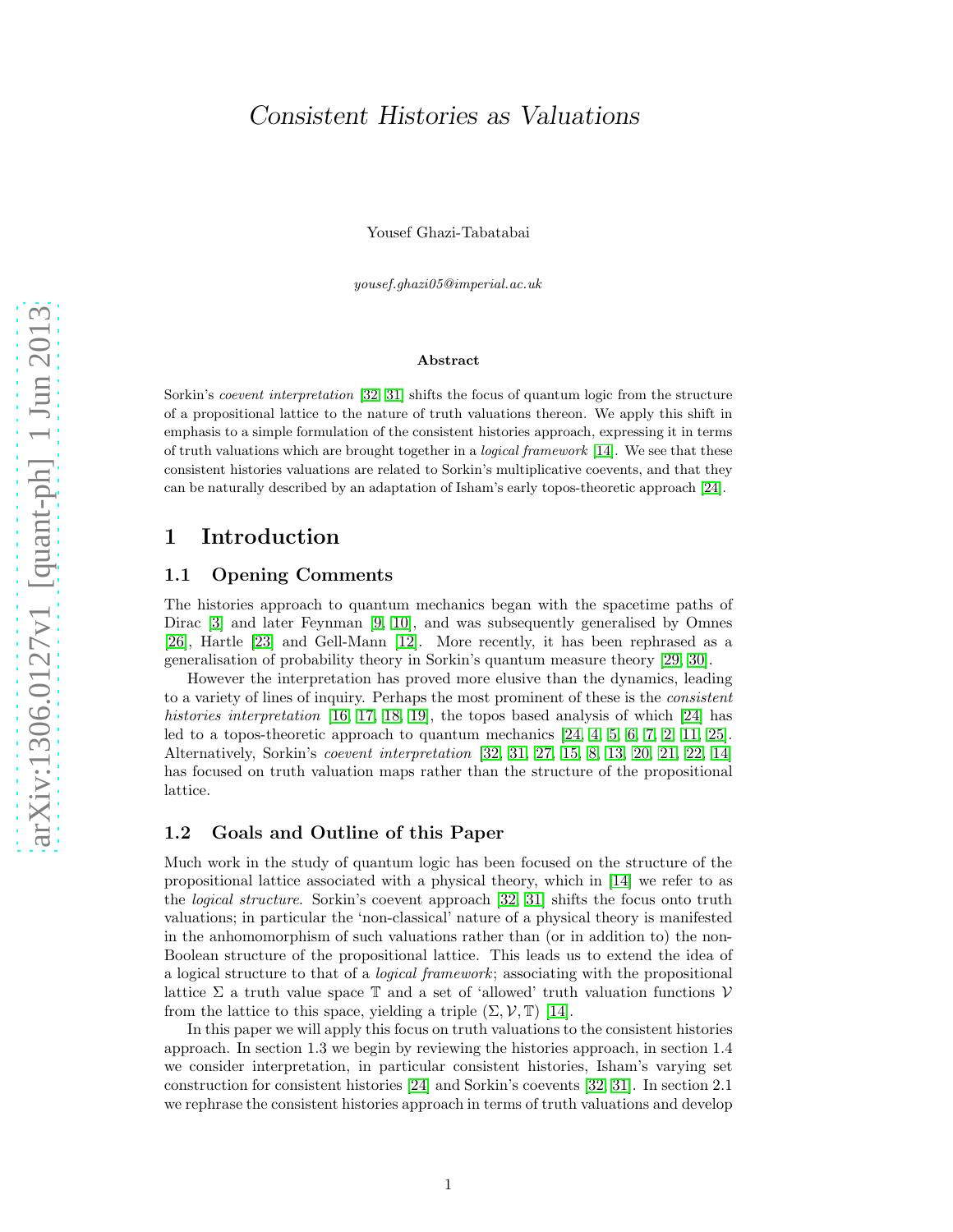# Consistent Histories as Valuations

Yousef Ghazi-Tabatabai

yousef.ghazi05@imperial.ac.uk

#### Abstract

Sorkin's coevent interpretation [\[32,](#page-11-0) [31\]](#page-11-1) shifts the focus of quantum logic from the structure of a propositional lattice to the nature of truth valuations thereon. We apply this shift in emphasis to a simple formulation of the consistent histories approach, expressing it in terms of truth valuations which are brought together in a logical framework [\[14\]](#page-10-0). We see that these consistent histories valuations are related to Sorkin's multiplicative coevents, and that they can be naturally described by an adaptation of Isham's early topos-theoretic approach [\[24\]](#page-11-2).

## 1 Introduction

## 1.1 Opening Comments

The histories approach to quantum mechanics began with the spacetime paths of Dirac [\[3\]](#page-10-1) and later Feynman [\[9,](#page-10-2) [10\]](#page-10-3), and was subsequently generalised by Omnes [\[26\]](#page-11-3), Hartle [\[23\]](#page-11-4) and Gell-Mann [\[12\]](#page-10-4). More recently, it has been rephrased as a generalisation of probability theory in Sorkin's quantum measure theory [\[29,](#page-11-5) [30\]](#page-11-6).

However the interpretation has proved more elusive than the dynamics, leading to a variety of lines of inquiry. Perhaps the most prominent of these is the *consistent histories interpretation* [\[16,](#page-10-5) [17,](#page-10-6) [18,](#page-10-7) [19\]](#page-11-7), the topos based analysis of which [\[24\]](#page-11-2) has led to a topos-theoretic approach to quantum mechanics [\[24,](#page-11-2) [4,](#page-10-8) [5,](#page-10-9) [6,](#page-10-10) [7,](#page-10-11) [2,](#page-10-12) [11,](#page-10-13) [25\]](#page-11-8). Alternatively, Sorkin's *coevent interpretation* [\[32,](#page-11-0) [31,](#page-11-1) [27,](#page-11-9) [15,](#page-10-14) [8,](#page-10-15) [13,](#page-10-16) [20,](#page-11-10) [21,](#page-11-11) [22,](#page-11-12) [14\]](#page-10-0) has focused on truth valuation maps rather than the structure of the propositional lattice.

## 1.2 Goals and Outline of this Paper

Much work in the study of quantum logic has been focused on the structure of the propositional lattice associated with a physical theory, which in [\[14\]](#page-10-0) we refer to as the *logical structure*. Sorkin's coevent approach [\[32,](#page-11-0) [31\]](#page-11-1) shifts the focus onto truth valuations; in particular the 'non-classical' nature of a physical theory is manifested in the anhomomorphism of such valuations rather than (or in addition to) the non-Boolean structure of the propositional lattice. This leads us to extend the idea of a logical structure to that of a *logical framework*; associating with the propositional lattice  $\Sigma$  a truth value space  $\mathbb T$  and a set of 'allowed' truth valuation functions  $\mathcal V$ from the lattice to this space, yielding a triple  $(\Sigma, \mathcal{V}, \mathbb{T})$  [\[14\]](#page-10-0).

In this paper we will apply this focus on truth valuations to the consistent histories approach. In section 1 .3 we begin by reviewing the histories approach, in section 1 . 4 we consider interpretation, in particular consistent histories, Isham's varying set construction for consistent histories [\[24\]](#page-11-2) and Sorkin's coevents [\[32,](#page-11-0) [31\]](#page-11-1). In section 2 . 1 we rephrase the consistent histories approach in terms of truth valuations and develop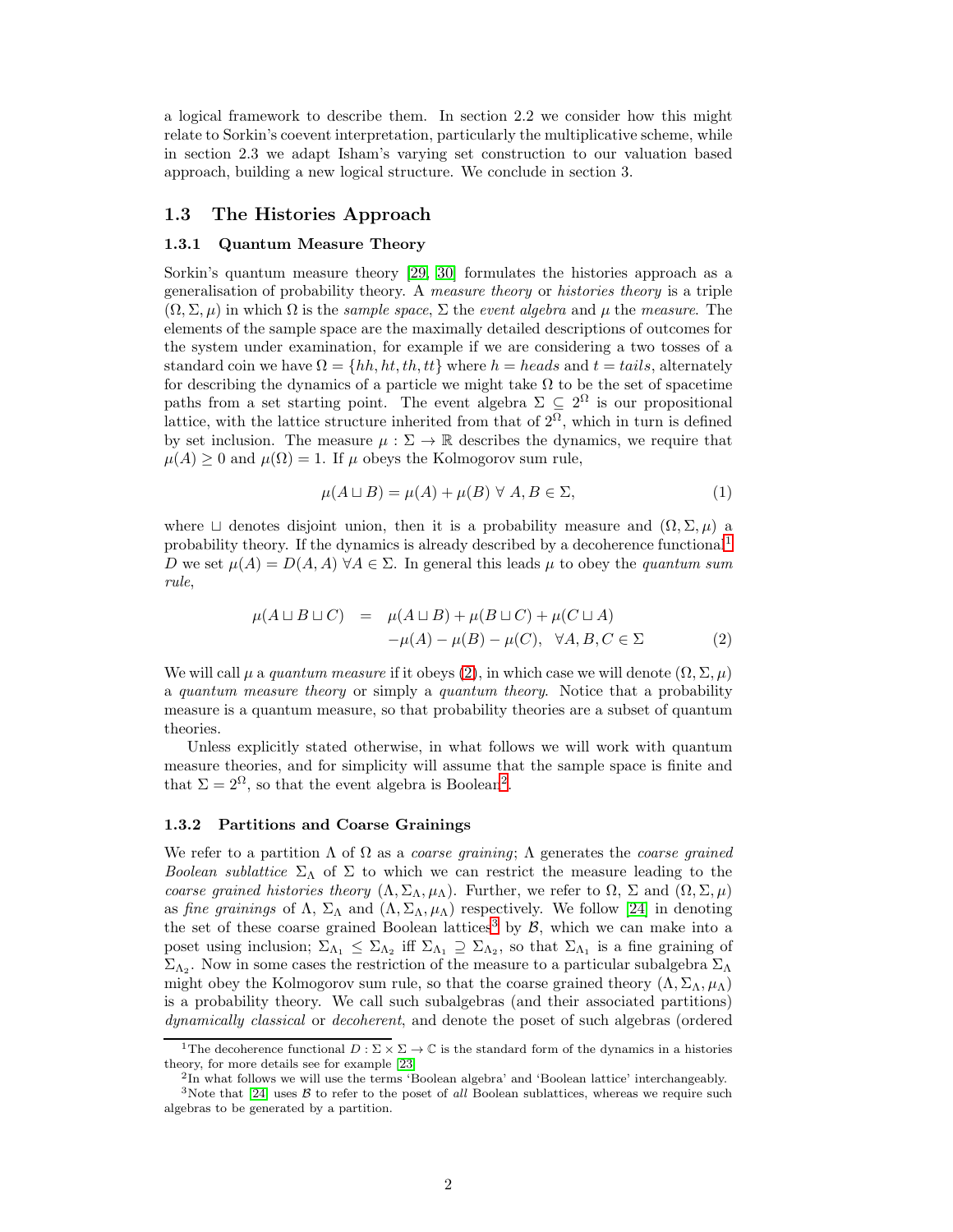a logical framework to describe them. In section 2.2 we consider how this might relate to Sorkin's coevent interpretation, particularly the multiplicative scheme, while in section 2.3 we adapt Isham's varying set construction to our valuation based approach, building a new logical structure. We conclude in section 3.

### 1.3 The Histories Approach

#### 1.3.1 Quantum Measure Theory

Sorkin's quantum measure theory [\[29,](#page-11-5) [30\]](#page-11-6) formulates the histories approach as a generalisation of probability theory. A *measure theory* or *histories theory* is a triple  $(\Omega, \Sigma, \mu)$  in which  $\Omega$  is the *sample space*,  $\Sigma$  the *event algebra* and  $\mu$  the *measure*. The elements of the sample space are the maximally detailed descriptions of outcomes for the system under examination, for example if we are considering a two tosses of a standard coin we have  $\Omega = \{hh, ht, tt\}$  where  $h = heads$  and  $t = tails$ , alternately for describing the dynamics of a particle we might take  $\Omega$  to be the set of spacetime paths from a set starting point. The event algebra  $\Sigma \subseteq 2^{\Omega}$  is our propositional lattice, with the lattice structure inherited from that of  $2^{\overline{\Omega}}$ , which in turn is defined by set inclusion. The measure  $\mu : \Sigma \to \mathbb{R}$  describes the dynamics, we require that  $\mu(A) \geq 0$  and  $\mu(\Omega) = 1$ . If  $\mu$  obeys the Kolmogorov sum rule,

$$
\mu(A \sqcup B) = \mu(A) + \mu(B) \,\forall \, A, B \in \Sigma,
$$
\n<sup>(1)</sup>

where  $\Box$  denotes disjoint union, then it is a probability measure and  $(\Omega, \Sigma, \mu)$  a probability theory. If the dynamics is already described by a decoherence functional[1](#page-1-0) D we set  $\mu(A) = D(A, A)$   $\forall A \in \Sigma$ . In general this leads  $\mu$  to obey the *quantum sum rule*,

<span id="page-1-1"></span>
$$
\mu(A \sqcup B \sqcup C) = \mu(A \sqcup B) + \mu(B \sqcup C) + \mu(C \sqcup A) \n- \mu(A) - \mu(B) - \mu(C), \forall A, B, C \in \Sigma
$$
\n(2)

We will call  $\mu$  a *quantum measure* if it obeys [\(2\)](#page-1-1), in which case we will denote  $(\Omega, \Sigma, \mu)$ a *quantum measure theory* or simply a *quantum theory*. Notice that a probability measure is a quantum measure, so that probability theories are a subset of quantum theories.

Unless explicitly stated otherwise, in what follows we will work with quantum measure theories, and for simplicity will assume that the sample space is finite and that  $\Sigma = 2^{\Omega}$  $\Sigma = 2^{\Omega}$  $\Sigma = 2^{\Omega}$ , so that the event algebra is Boolean<sup>2</sup>.

#### 1.3.2 Partitions and Coarse Grainings

We refer to a partition Λ of Ω as a *coarse graining*; Λ generates the *coarse grained Boolean sublattice*  $\Sigma_{\Lambda}$  of  $\Sigma$  to which we can restrict the measure leading to the *coarse grained histories theory*  $(\Lambda, \Sigma_{\Lambda}, \mu_{\Lambda})$ . Further, we refer to  $\Omega$ ,  $\Sigma$  and  $(\Omega, \Sigma, \mu)$ as *fine grainings* of  $\Lambda$ ,  $\Sigma_{\Lambda}$  and  $(\Lambda, \Sigma_{\Lambda}, \mu_{\Lambda})$  respectively. We follow [\[24\]](#page-11-2) in denoting the set of these coarse grained Boolean lattices<sup>[3](#page-1-3)</sup> by  $\mathcal{B}$ , which we can make into a poset using inclusion;  $\Sigma_{\Lambda_1} \leq \Sigma_{\Lambda_2}$  iff  $\Sigma_{\Lambda_1} \supseteq \Sigma_{\Lambda_2}$ , so that  $\Sigma_{\Lambda_1}$  is a fine graining of  $\Sigma_{\Lambda_2}$ . Now in some cases the restriction of the measure to a particular subalgebra  $\Sigma_{\Lambda}$ might obey the Kolmogorov sum rule, so that the coarse grained theory  $(\Lambda, \Sigma_{\Lambda}, \mu_{\Lambda})$ is a probability theory. We call such subalgebras (and their associated partitions) *dynamically classical* or *decoherent*, and denote the poset of such algebras (ordered

<sup>&</sup>lt;sup>1</sup>The decoherence functional  $D: \Sigma \times \Sigma \to \mathbb{C}$  is the standard form of the dynamics in a histories theory, for more details see for example [\[23\]](#page-11-4)

<span id="page-1-2"></span><span id="page-1-0"></span><sup>&</sup>lt;sup>2</sup>In what follows we will use the terms 'Boolean algebra' and 'Boolean lattice' interchangeably.

<span id="page-1-3"></span><sup>&</sup>lt;sup>3</sup>Note that [\[24\]](#page-11-2) uses  $\beta$  to refer to the poset of all Boolean sublattices, whereas we require such algebras to be generated by a partition.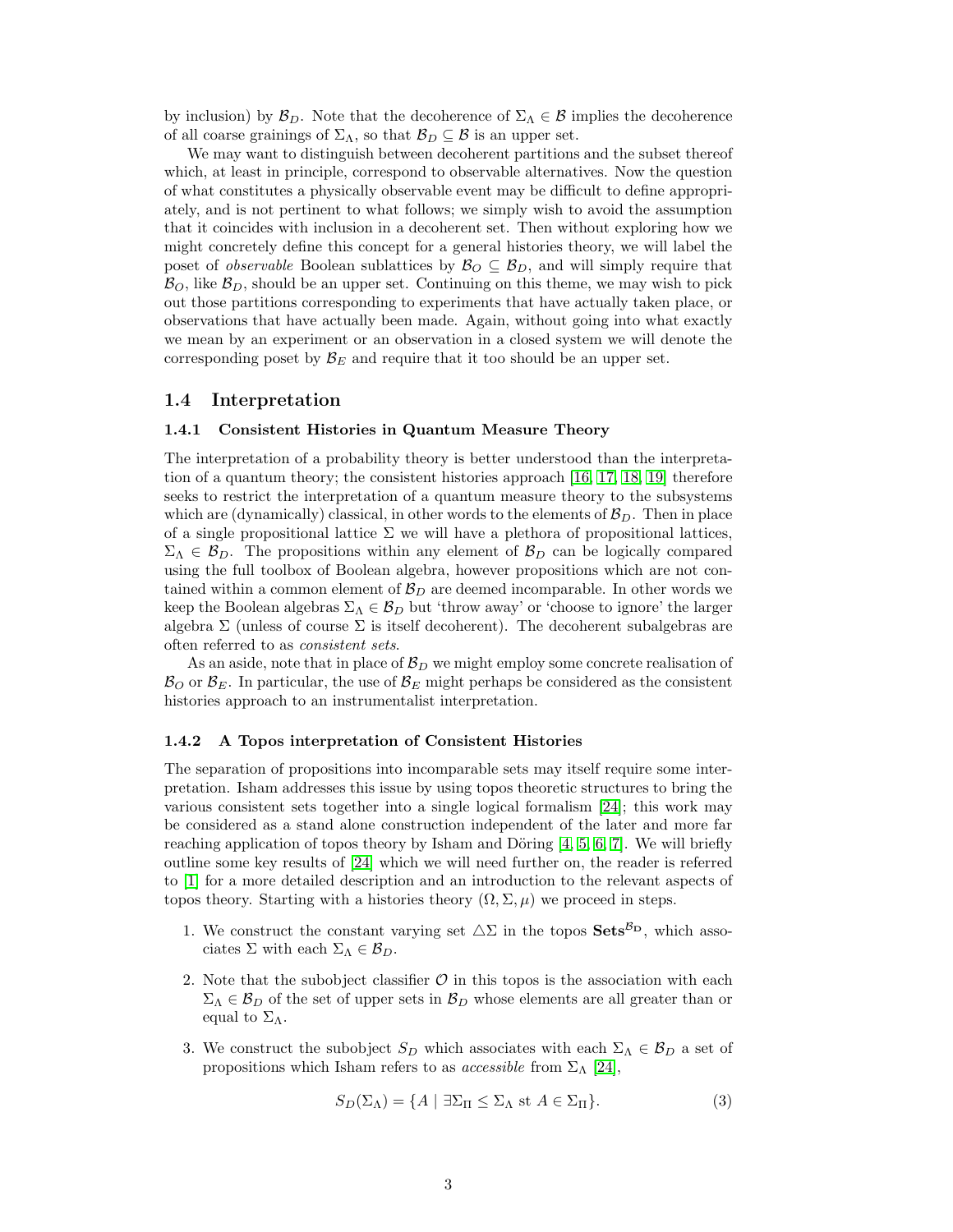by inclusion) by  $\mathcal{B}_D$ . Note that the decoherence of  $\Sigma_\Lambda \in \mathcal{B}$  implies the decoherence of all coarse grainings of  $\Sigma_{\Lambda}$ , so that  $\mathcal{B}_D \subseteq \mathcal{B}$  is an upper set.

We may want to distinguish between decoherent partitions and the subset thereof which, at least in principle, correspond to observable alternatives. Now the question of what constitutes a physically observable event may be difficult to define appropriately, and is not pertinent to what follows; we simply wish to avoid the assumption that it coincides with inclusion in a decoherent set. Then without exploring how we might concretely define this concept for a general histories theory, we will label the poset of *observable* Boolean sublattices by  $\mathcal{B}_O \subseteq \mathcal{B}_D$ , and will simply require that  $\mathcal{B}_O$ , like  $\mathcal{B}_D$ , should be an upper set. Continuing on this theme, we may wish to pick out those partitions corresponding to experiments that have actually taken place, or observations that have actually been made. Again, without going into what exactly we mean by an experiment or an observation in a closed system we will denote the corresponding poset by  $\mathcal{B}_E$  and require that it too should be an upper set.

#### 1.4 Interpretation

#### 1.4.1 Consistent Histories in Quantum Measure Theory

The interpretation of a probability theory is better understood than the interpretation of a quantum theory; the consistent histories approach [\[16,](#page-10-5) [17,](#page-10-6) [18,](#page-10-7) [19\]](#page-11-7) therefore seeks to restrict the interpretation of a quantum measure theory to the subsystems which are (dynamically) classical, in other words to the elements of  $B<sub>D</sub>$ . Then in place of a single propositional lattice  $\Sigma$  we will have a plethora of propositional lattices,  $\Sigma_{\Lambda} \in \mathcal{B}_D$ . The propositions within any element of  $\mathcal{B}_D$  can be logically compared using the full toolbox of Boolean algebra, however propositions which are not contained within a common element of  $\mathcal{B}_D$  are deemed incomparable. In other words we keep the Boolean algebras  $\Sigma_{\Lambda} \in \mathcal{B}_D$  but 'throw away' or 'choose to ignore' the larger algebra  $\Sigma$  (unless of course  $\Sigma$  is itself decoherent). The decoherent subalgebras are often referred to as *consistent sets*.

As an aside, note that in place of  $\mathcal{B}_D$  we might employ some concrete realisation of  $\mathcal{B}_O$  or  $\mathcal{B}_E$ . In particular, the use of  $\mathcal{B}_E$  might perhaps be considered as the consistent histories approach to an instrumentalist interpretation.

#### <span id="page-2-0"></span>1.4.2 A Topos interpretation of Consistent Histories

The separation of propositions into incomparable sets may itself require some interpretation. Isham addresses this issue by using topos theoretic structures to bring the various consistent sets together into a single logical formalism [\[24\]](#page-11-2); this work may be considered as a stand alone construction independent of the later and more far reaching application of topos theory by Isham and Döring  $[4, 5, 6, 7]$  $[4, 5, 6, 7]$  $[4, 5, 6, 7]$  $[4, 5, 6, 7]$  $[4, 5, 6, 7]$ . We will briefly outline some key results of [\[24\]](#page-11-2) which we will need further on, the reader is referred to [\[1\]](#page-10-17) for a more detailed description and an introduction to the relevant aspects of topos theory. Starting with a histories theory  $(\Omega, \Sigma, \mu)$  we proceed in steps.

- 1. We construct the constant varying set  $\Delta\Sigma$  in the topos  $\mathbf{Sets}^{\mathcal{B}_{\mathbf{D}}}$ , which associates  $\Sigma$  with each  $\Sigma_{\Lambda} \in \mathcal{B}_D$ .
- 2. Note that the subobject classifier  $\mathcal O$  in this topos is the association with each  $\Sigma_{\Lambda} \in \mathcal{B}_D$  of the set of upper sets in  $\mathcal{B}_D$  whose elements are all greater than or equal to  $\Sigma_{\Lambda}$ .
- 3. We construct the subobject  $S_D$  which associates with each  $\Sigma_\Lambda \in \mathcal{B}_D$  a set of propositions which Isham refers to as *accessible* from  $\Sigma_{\Lambda}$  [\[24\]](#page-11-2),

$$
S_D(\Sigma_\Lambda) = \{ A \mid \exists \Sigma_\Pi \le \Sigma_\Lambda \text{ st } A \in \Sigma_\Pi \}. \tag{3}
$$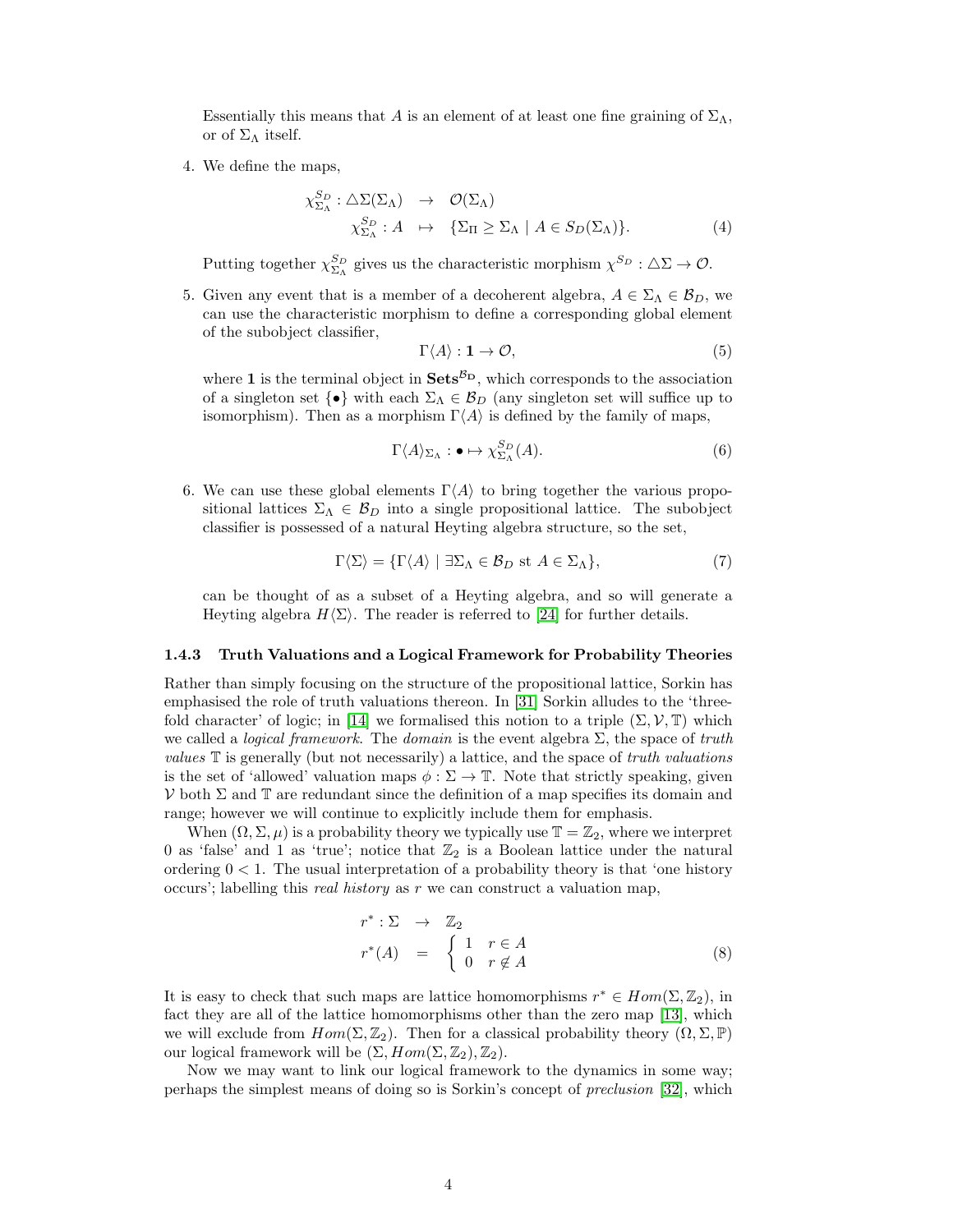Essentially this means that A is an element of at least one fine graining of  $\Sigma_{\Lambda}$ , or of  $\Sigma_{\Lambda}$  itself.

4. We define the maps,

$$
\chi_{\Sigma_{\Lambda}}^{S_D} : \Delta \Sigma(\Sigma_{\Lambda}) \rightarrow \mathcal{O}(\Sigma_{\Lambda})
$$
  

$$
\chi_{\Sigma_{\Lambda}}^{S_D} : A \rightarrow \{\Sigma_{\Pi} \ge \Sigma_{\Lambda} \mid A \in S_D(\Sigma_{\Lambda})\}.
$$
 (4)

Putting together  $\chi_{\Sigma_{\Lambda}}^{S_D}$  gives us the characteristic morphism  $\chi_{\Sigma}^{S_D} : \Delta \Sigma \to \mathcal{O}$ .

5. Given any event that is a member of a decoherent algebra,  $A \in \Sigma_{\Lambda} \in \mathcal{B}_D$ , we can use the characteristic morphism to define a corresponding global element of the subobject classifier,

$$
\Gamma \langle A \rangle : \mathbf{1} \to \mathcal{O}, \tag{5}
$$

where 1 is the terminal object in  $\textbf{Sets}^{\mathcal{B}_{\textbf{D}}}$ , which corresponds to the association of a singleton set  $\{\bullet\}$  with each  $\Sigma_{\Lambda} \in \mathcal{B}_D$  (any singleton set will suffice up to isomorphism). Then as a morphism  $\Gamma\langle A \rangle$  is defined by the family of maps,

$$
\Gamma \langle A \rangle_{\Sigma_{\Lambda}} : \bullet \mapsto \chi_{\Sigma_{\Lambda}}^{S_D}(A). \tag{6}
$$

6. We can use these global elements  $\Gamma\langle A \rangle$  to bring together the various propositional lattices  $\Sigma_{\Lambda} \in \mathcal{B}_D$  into a single propositional lattice. The subobject classifier is possessed of a natural Heyting algebra structure, so the set,

$$
\Gamma \langle \Sigma \rangle = \{ \Gamma \langle A \rangle \mid \exists \Sigma_{\Lambda} \in \mathcal{B}_D \text{ st } A \in \Sigma_{\Lambda} \},\tag{7}
$$

can be thought of as a subset of a Heyting algebra, and so will generate a Heyting algebra  $H\langle\Sigma\rangle$ . The reader is referred to [\[24\]](#page-11-2) for further details.

#### 1.4.3 Truth Valuations and a Logical Framework for Probability Theories

Rather than simply focusing on the structure of the propositional lattice, Sorkin has emphasised the role of truth valuations thereon. In [\[31\]](#page-11-1) Sorkin alludes to the 'three-fold character' of logic; in [\[14\]](#page-10-0) we formalised this notion to a triple  $(\Sigma, \mathcal{V}, \mathbb{T})$  which we called a *logical framework*. The *domain* is the event algebra Σ, the space of *truth values* T is generally (but not necessarily) a lattice, and the space of *truth valuations* is the set of 'allowed' valuation maps  $\phi : \Sigma \to \mathbb{T}$ . Note that strictly speaking, given  $V$  both  $\Sigma$  and  $\mathbb T$  are redundant since the definition of a map specifies its domain and range; however we will continue to explicitly include them for emphasis.

When  $(\Omega, \Sigma, \mu)$  is a probability theory we typically use  $\mathbb{T} = \mathbb{Z}_2$ , where we interpret 0 as 'false' and 1 as 'true'; notice that  $\mathbb{Z}_2$  is a Boolean lattice under the natural ordering  $0 < 1$ . The usual interpretation of a probability theory is that 'one history occurs'; labelling this *real history* as r we can construct a valuation map,

$$
r^* : \Sigma \rightarrow \mathbb{Z}_2
$$
  

$$
r^*(A) = \begin{cases} 1 & r \in A \\ 0 & r \notin A \end{cases}
$$
 (8)

It is easy to check that such maps are lattice homomorphisms  $r^* \in Hom(\Sigma, \mathbb{Z}_2)$ , in fact they are all of the lattice homomorphisms other than the zero map [\[13\]](#page-10-16), which we will exclude from  $Hom(\Sigma, \mathbb{Z}_2)$ . Then for a classical probability theory  $(\Omega, \Sigma, \mathbb{P})$ our logical framework will be  $(\Sigma, Hom(\Sigma, \mathbb{Z}_2), \mathbb{Z}_2)$ .

Now we may want to link our logical framework to the dynamics in some way; perhaps the simplest means of doing so is Sorkin's concept of *preclusion* [\[32\]](#page-11-0), which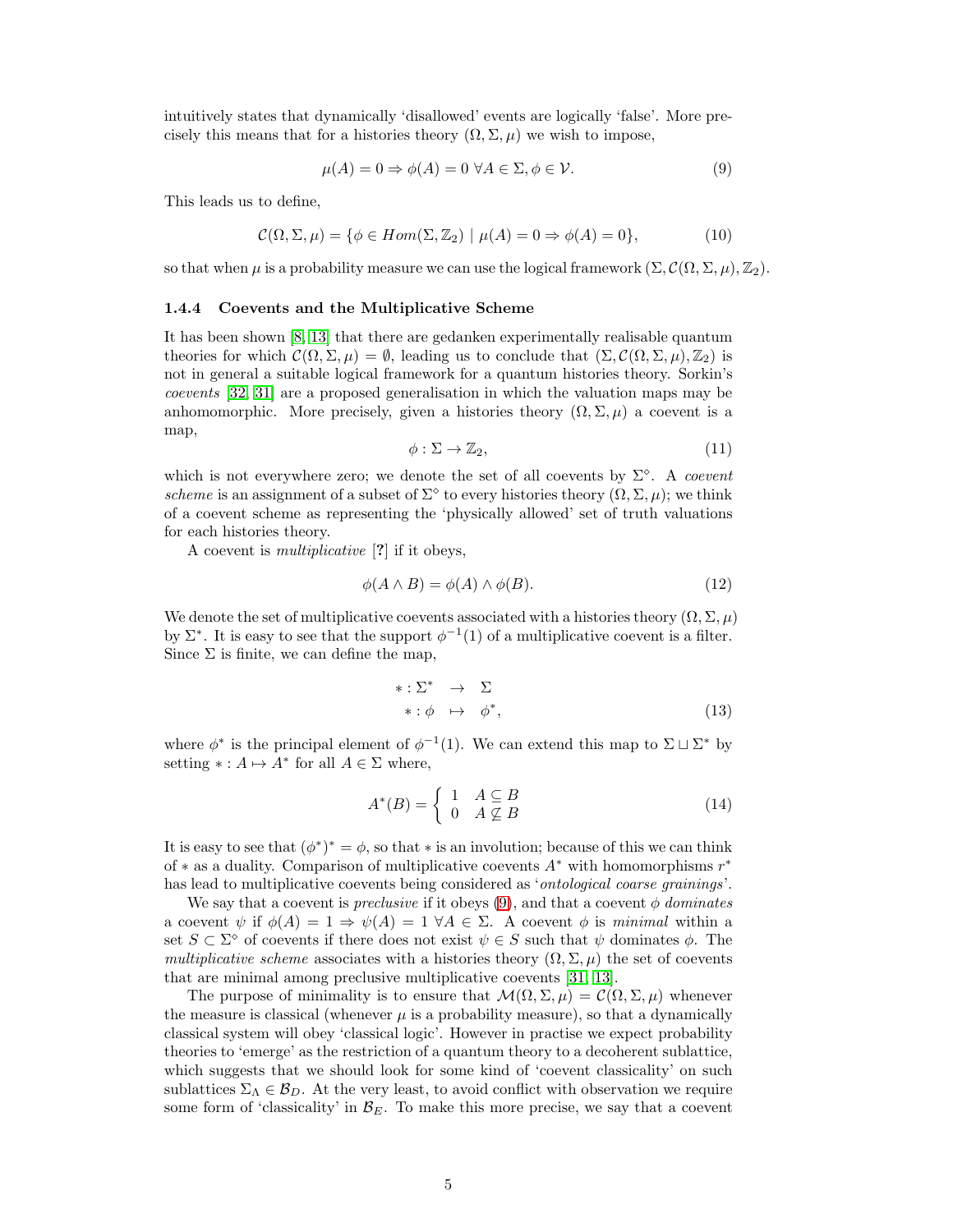intuitively states that dynamically 'disallowed' events are logically 'false'. More precisely this means that for a histories theory  $(\Omega, \Sigma, \mu)$  we wish to impose,

<span id="page-4-0"></span>
$$
\mu(A) = 0 \Rightarrow \phi(A) = 0 \,\forall A \in \Sigma, \phi \in \mathcal{V}.\tag{9}
$$

This leads us to define,

$$
\mathcal{C}(\Omega, \Sigma, \mu) = \{ \phi \in Hom(\Sigma, \mathbb{Z}_2) \mid \mu(A) = 0 \Rightarrow \phi(A) = 0 \},\tag{10}
$$

so that when  $\mu$  is a probability measure we can use the logical framework  $(\Sigma, \mathcal{C}(\Omega, \Sigma, \mu), \mathbb{Z}_2)$ .

#### <span id="page-4-1"></span>1.4.4 Coevents and the Multiplicative Scheme

It has been shown [\[8,](#page-10-15) [13\]](#page-10-16) that there are gedanken experimentally realisable quantum theories for which  $\mathcal{C}(\Omega,\Sigma,\mu) = \emptyset$ , leading us to conclude that  $(\Sigma,\mathcal{C}(\Omega,\Sigma,\mu),\mathbb{Z}_2)$  is not in general a suitable logical framework for a quantum histories theory. Sorkin's *coevents* [\[32,](#page-11-0) [31\]](#page-11-1) are a proposed generalisation in which the valuation maps may be anhomomorphic. More precisely, given a histories theory  $(\Omega, \Sigma, \mu)$  a coevent is a map,

$$
\phi: \Sigma \to \mathbb{Z}_2,\tag{11}
$$

which is not everywhere zero; we denote the set of all coevents by  $\Sigma^{\diamond}$ . A *coevent scheme* is an assignment of a subset of  $\Sigma^{\diamond}$  to every histories theory  $(\Omega, \Sigma, \mu)$ ; we think of a coevent scheme as representing the 'physically allowed' set of truth valuations for each histories theory.

A coevent is *multiplicative* [?] if it obeys,

$$
\phi(A \wedge B) = \phi(A) \wedge \phi(B). \tag{12}
$$

We denote the set of multiplicative coevents associated with a histories theory  $(\Omega, \Sigma, \mu)$ by  $\Sigma^*$ . It is easy to see that the support  $\phi^{-1}(1)$  of a multiplicative coevent is a filter. Since  $\Sigma$  is finite, we can define the map,

$$
*: \Sigma^* \rightarrow \Sigma
$$
  

$$
*: \phi \mapsto \phi^*,
$$
 (13)

where  $\phi^*$  is the principal element of  $\phi^{-1}(1)$ . We can extend this map to  $\Sigma \sqcup \Sigma^*$  by setting  $* : A \mapsto A^*$  for all  $A \in \Sigma$  where,

$$
A^*(B) = \begin{cases} 1 & A \subseteq B \\ 0 & A \nsubseteq B \end{cases}
$$
 (14)

It is easy to see that  $(\phi^*)^* = \phi$ , so that \* is an involution; because of this we can think of  $*$  as a duality. Comparison of multiplicative coevents  $A^*$  with homomorphisms  $r^*$ has lead to multiplicative coevents being considered as '*ontological coarse grainings*'.

We say that a coevent is *preclusive* if it obeys  $(9)$ , and that a coevent  $\phi$  *dominates* a coevent  $\psi$  if  $\phi(A) = 1 \Rightarrow \psi(A) = 1 \forall A \in \Sigma$ . A coevent  $\phi$  is *minimal* within a set  $S \subset \Sigma^{\diamond}$  of coevents if there does not exist  $\psi \in S$  such that  $\psi$  dominates  $\phi$ . The *multiplicative scheme* associates with a histories theory  $(\Omega, \Sigma, \mu)$  the set of coevents that are minimal among preclusive multiplicative coevents [\[31,](#page-11-1) [13\]](#page-10-16).

The purpose of minimality is to ensure that  $\mathcal{M}(\Omega,\Sigma,\mu) = \mathcal{C}(\Omega,\Sigma,\mu)$  whenever the measure is classical (whenever  $\mu$  is a probability measure), so that a dynamically classical system will obey 'classical logic'. However in practise we expect probability theories to 'emerge' as the restriction of a quantum theory to a decoherent sublattice, which suggests that we should look for some kind of 'coevent classicality' on such sublattices  $\Sigma_{\Lambda} \in \mathcal{B}_D$ . At the very least, to avoid conflict with observation we require some form of 'classicality' in  $\mathcal{B}_E$ . To make this more precise, we say that a coevent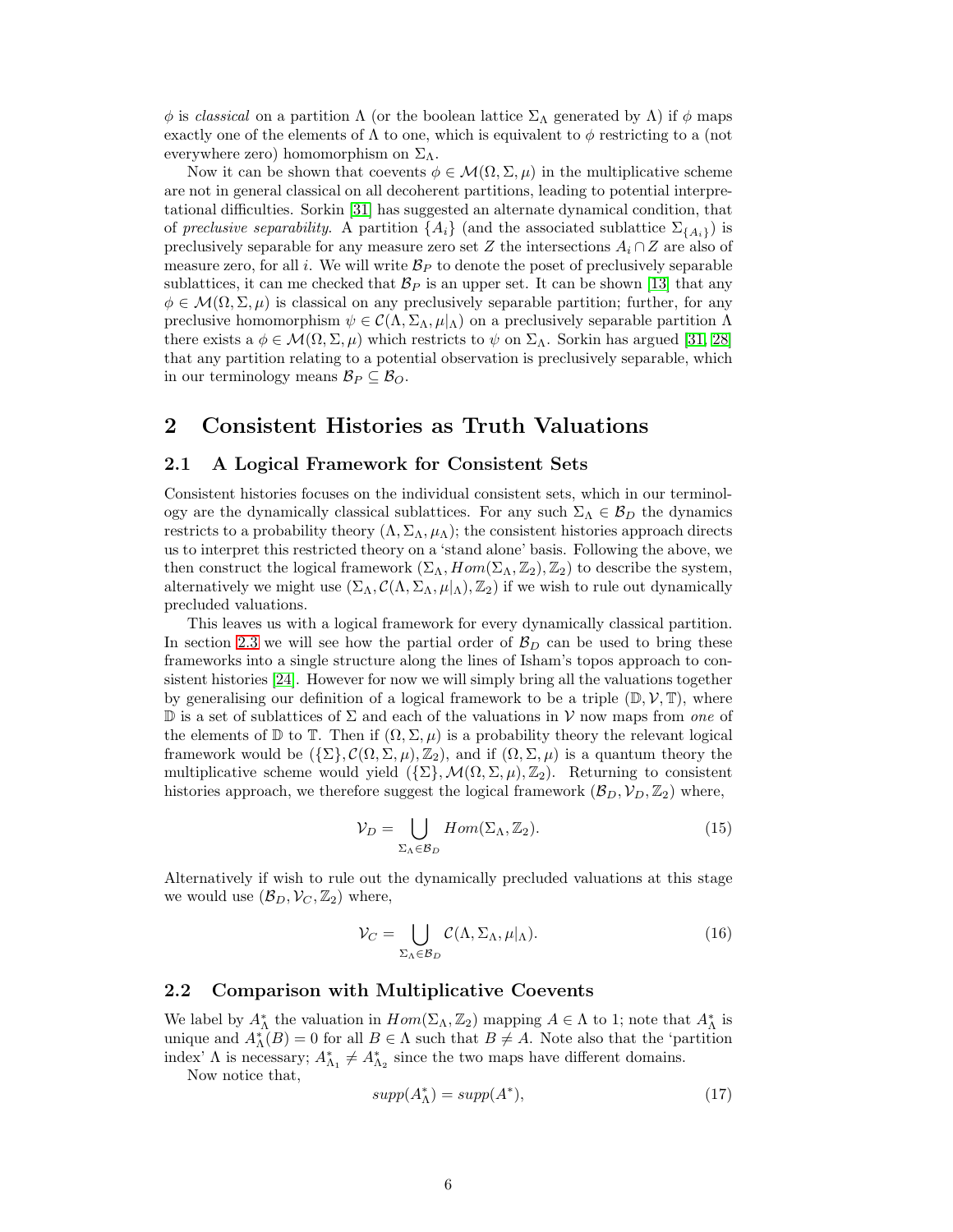$\phi$  is *classical* on a partition  $\Lambda$  (or the boolean lattice  $\Sigma_{\Lambda}$  generated by  $\Lambda$ ) if  $\phi$  maps exactly one of the elements of  $\Lambda$  to one, which is equivalent to  $\phi$  restricting to a (not everywhere zero) homomorphism on  $\Sigma_{\Lambda}$ .

Now it can be shown that coevents  $\phi \in \mathcal{M}(\Omega, \Sigma, \mu)$  in the multiplicative scheme are not in general classical on all decoherent partitions, leading to potential interpretational difficulties. Sorkin [\[31\]](#page-11-1) has suggested an alternate dynamical condition, that of *preclusive separability*. A partition  $\{A_i\}$  (and the associated sublattice  $\Sigma_{\{A_i\}}$ ) is preclusively separable for any measure zero set Z the intersections  $A_i \cap Z$  are also of measure zero, for all i. We will write  $\mathcal{B}_P$  to denote the poset of preclusively separable sublattices, it can me checked that  $\mathcal{B}_P$  is an upper set. It can be shown [\[13\]](#page-10-16) that any  $\phi \in \mathcal{M}(\Omega, \Sigma, \mu)$  is classical on any preclusively separable partition; further, for any preclusive homomorphism  $\psi \in \mathcal{C}(\Lambda, \Sigma_\Lambda, \mu|_{\Lambda})$  on a preclusively separable partition  $\Lambda$ there exists  $a \phi \in \mathcal{M}(\Omega, \Sigma, \mu)$  which restricts to  $\psi$  on  $\Sigma_{\Lambda}$ . Sorkin has argued [\[31,](#page-11-1) [28\]](#page-11-13) that any partition relating to a potential observation is preclusively separable, which in our terminology means  $\mathcal{B}_P \subseteq \mathcal{B}_O$ .

## <span id="page-5-1"></span>2 Consistent Histories as Truth Valuations

### 2.1 A Logical Framework for Consistent Sets

Consistent histories focuses on the individual consistent sets, which in our terminology are the dynamically classical sublattices. For any such  $\Sigma_{\Lambda} \in \mathcal{B}_D$  the dynamics restricts to a probability theory  $(\Lambda, \Sigma_{\Lambda}, \mu_{\Lambda})$ ; the consistent histories approach directs us to interpret this restricted theory on a 'stand alone' basis. Following the above, we then construct the logical framework  $(\Sigma_{\Lambda}, Hom(\Sigma_{\Lambda}, Z_2), Z_2)$  to describe the system, alternatively we might use  $(\Sigma_\Lambda, \mathcal{C}(\Lambda, \Sigma_\Lambda, \mu |_{\Lambda}), \mathbb{Z}_2)$  if we wish to rule out dynamically precluded valuations.

This leaves us with a logical framework for every dynamically classical partition. In section [2.3](#page-7-0) we will see how the partial order of  $\mathcal{B}_D$  can be used to bring these frameworks into a single structure along the lines of Isham's topos approach to consistent histories [\[24\]](#page-11-2). However for now we will simply bring all the valuations together by generalising our definition of a logical framework to be a triple  $(\mathbb{D}, \mathcal{V}, \mathbb{T})$ , where D is a set of sublattices of Σ and each of the valuations in V now maps from *one* of the elements of  $\mathbb D$  to  $\mathbb T$ . Then if  $(\Omega, \Sigma, \mu)$  is a probability theory the relevant logical framework would be  $({\{\Sigma\}}, \mathcal{C}(\Omega, \Sigma, \mu), \mathbb{Z}_2)$ , and if  $(\Omega, \Sigma, \mu)$  is a quantum theory the multiplicative scheme would yield  $({\{\Sigma\}},\mathcal{M}(\Omega,\Sigma,\mu),\mathbb{Z}_2)$ . Returning to consistent histories approach, we therefore suggest the logical framework  $(\mathcal{B}_D, \mathcal{V}_D, \mathbb{Z}_2)$  where,

$$
\mathcal{V}_D = \bigcup_{\Sigma_{\Lambda} \in \mathcal{B}_D} Hom(\Sigma_{\Lambda}, \mathbb{Z}_2). \tag{15}
$$

Alternatively if wish to rule out the dynamically precluded valuations at this stage we would use  $(\mathcal{B}_D, \mathcal{V}_C, \mathbb{Z}_2)$  where,

$$
\mathcal{V}_C = \bigcup_{\Sigma_{\Lambda} \in \mathcal{B}_D} C(\Lambda, \Sigma_{\Lambda}, \mu |_{\Lambda}).
$$
\n(16)

### <span id="page-5-0"></span>2.2 Comparison with Multiplicative Coevents

We label by  $A_{\Lambda}^*$  the valuation in  $Hom(\Sigma_{\Lambda}, \mathbb{Z}_2)$  mapping  $A \in \Lambda$  to 1; note that  $A_{\Lambda}^*$  is unique and  $A_{\Lambda}^*(B) = 0$  for all  $B \in \Lambda$  such that  $B \neq A$ . Note also that the 'partition index'  $\Lambda$  is necessary;  $A_{\Lambda_1}^* \neq A_{\Lambda_2}^*$  since the two maps have different domains.

Now notice that,

$$
supp(A_{\Lambda}^{*}) = supp(A^{*}),
$$
\n(17)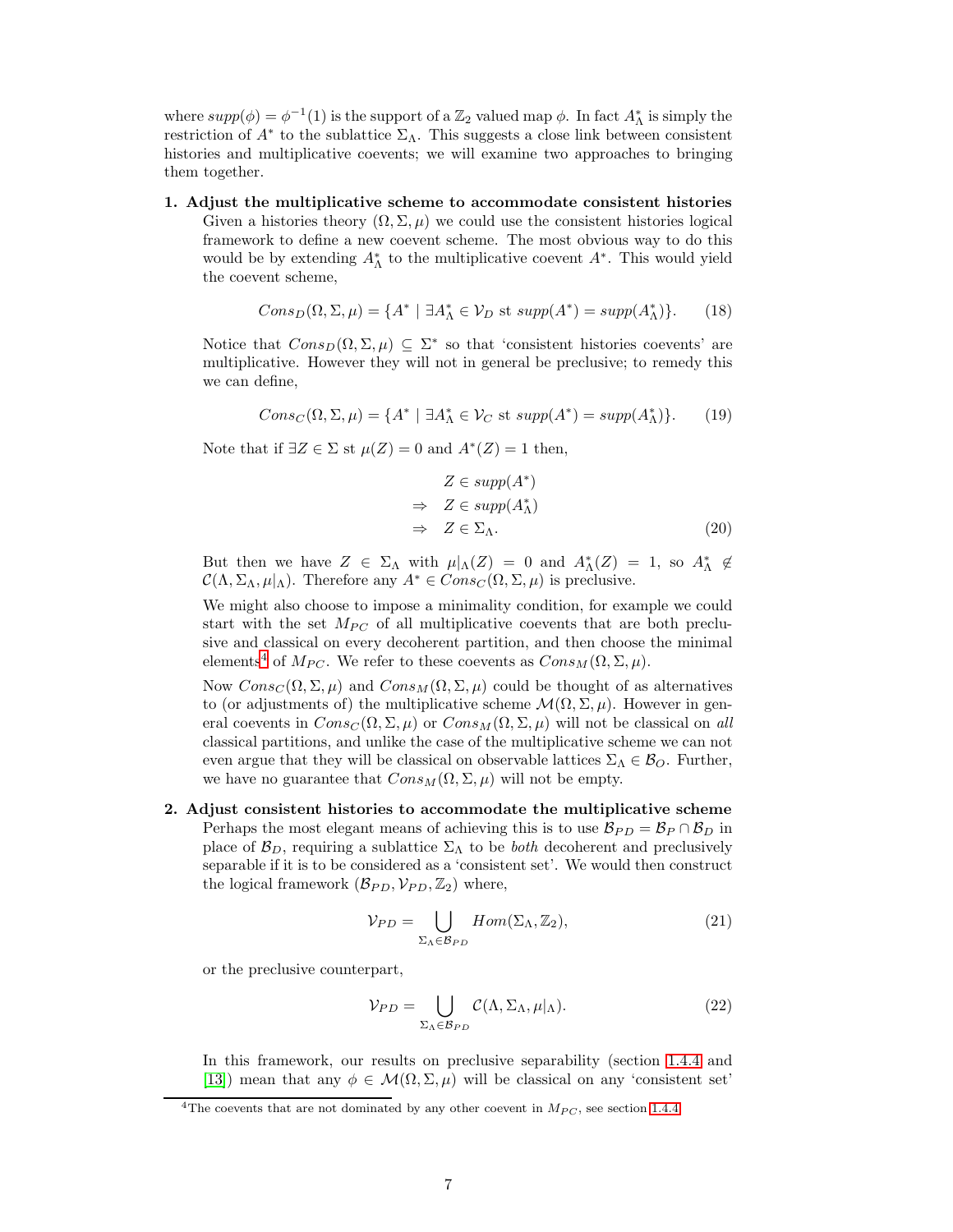where  $supp(\phi) = \phi^{-1}(1)$  is the support of a  $\mathbb{Z}_2$  valued map  $\phi$ . In fact  $A^*_{\Lambda}$  is simply the restriction of  $A^*$  to the sublattice  $\Sigma_{\Lambda}$ . This suggests a close link between consistent histories and multiplicative coevents; we will examine two approaches to bringing them together.

1. Adjust the multiplicative scheme to accommodate consistent histories Given a histories theory  $(\Omega, \Sigma, \mu)$  we could use the consistent histories logical framework to define a new coevent scheme. The most obvious way to do this would be by extending  $A_{\Lambda}^*$  to the multiplicative coevent  $A^*$ . This would yield the coevent scheme,

$$
Cons_D(\Omega, \Sigma, \mu) = \{A^* \mid \exists A^*_{\Lambda} \in \mathcal{V}_D \text{ st } supp(A^*) = supp(A^*_{\Lambda})\}.
$$
 (18)

Notice that  $Cons_D(\Omega, \Sigma, \mu) \subseteq \Sigma^*$  so that 'consistent histories coevents' are multiplicative. However they will not in general be preclusive; to remedy this we can define,

$$
Cons_C(\Omega, \Sigma, \mu) = \{A^* \mid \exists A^*_{\Lambda} \in \mathcal{V}_C \text{ st } supp(A^*) = supp(A^*_{\Lambda})\}.
$$
 (19)

Note that if  $\exists Z \in \Sigma$  st  $\mu(Z) = 0$  and  $A^*(Z) = 1$  then,

$$
Z \in supp(A^*)
$$
  
\n
$$
\Rightarrow Z \in supp(A^*_{\Lambda})
$$
  
\n
$$
\Rightarrow Z \in \Sigma_{\Lambda}.
$$
\n(20)

But then we have  $Z \in \Sigma_{\Lambda}$  with  $\mu |_{\Lambda}(Z) = 0$  and  $A_{\Lambda}^*(Z) = 1$ , so  $A_{\Lambda}^* \notin$  $\mathcal{C}(\Lambda, \Sigma_\Lambda, \mu|_{\Lambda})$ . Therefore any  $A^* \in Cons_{\mathcal{C}}(\Omega, \Sigma, \mu)$  is preclusive.

We might also choose to impose a minimality condition, for example we could start with the set  $M_{PC}$  of all multiplicative coevents that are both preclusive and classical on every decoherent partition, and then choose the minimal elements<sup>[4](#page-6-0)</sup> of  $M_{PC}$ . We refer to these coevents as  $Cons_M(\Omega, \Sigma, \mu)$ .

Now  $Cons_{C}(\Omega,\Sigma,\mu)$  and  $Cons_{M}(\Omega,\Sigma,\mu)$  could be thought of as alternatives to (or adjustments of) the multiplicative scheme  $\mathcal{M}(\Omega, \Sigma, \mu)$ . However in general coevents in  $Cons_{C}(\Omega,\Sigma,\mu)$  or  $Cons_{M}(\Omega,\Sigma,\mu)$  will not be classical on *all* classical partitions, and unlike the case of the multiplicative scheme we can not even argue that they will be classical on observable lattices  $\Sigma_{\Lambda} \in \mathcal{B}_O$ . Further, we have no guarantee that  $Cons_M(\Omega, \Sigma, \mu)$  will not be empty.

2. Adjust consistent histories to accommodate the multiplicative scheme Perhaps the most elegant means of achieving this is to use  $\mathcal{B}_{PD} = \mathcal{B}_P \cap \mathcal{B}_D$  in place of  $\mathcal{B}_D$ , requiring a sublattice  $\Sigma_{\Lambda}$  to be *both* decoherent and preclusively separable if it is to be considered as a 'consistent set'. We would then construct the logical framework  $(\mathcal{B}_{PD}, \mathcal{V}_{PD}, \mathbb{Z}_2)$  where,

$$
\mathcal{V}_{PD} = \bigcup_{\Sigma_{\Lambda} \in \mathcal{B}_{PD}} Hom(\Sigma_{\Lambda}, \mathbb{Z}_2), \tag{21}
$$

or the preclusive counterpart,

$$
\mathcal{V}_{PD} = \bigcup_{\Sigma_{\Lambda} \in \mathcal{B}_{PD}} \mathcal{C}(\Lambda, \Sigma_{\Lambda}, \mu|_{\Lambda}). \tag{22}
$$

In this framework, our results on preclusive separability (section [1.4.4](#page-4-1) and [\[13\]](#page-10-16)) mean that any  $\phi \in \mathcal{M}(\Omega, \Sigma, \mu)$  will be classical on any 'consistent set'

<span id="page-6-0"></span><sup>&</sup>lt;sup>4</sup>The coevents that are not dominated by any other coevent in  $M_{PC}$ , see section [1.4.4.](#page-4-1)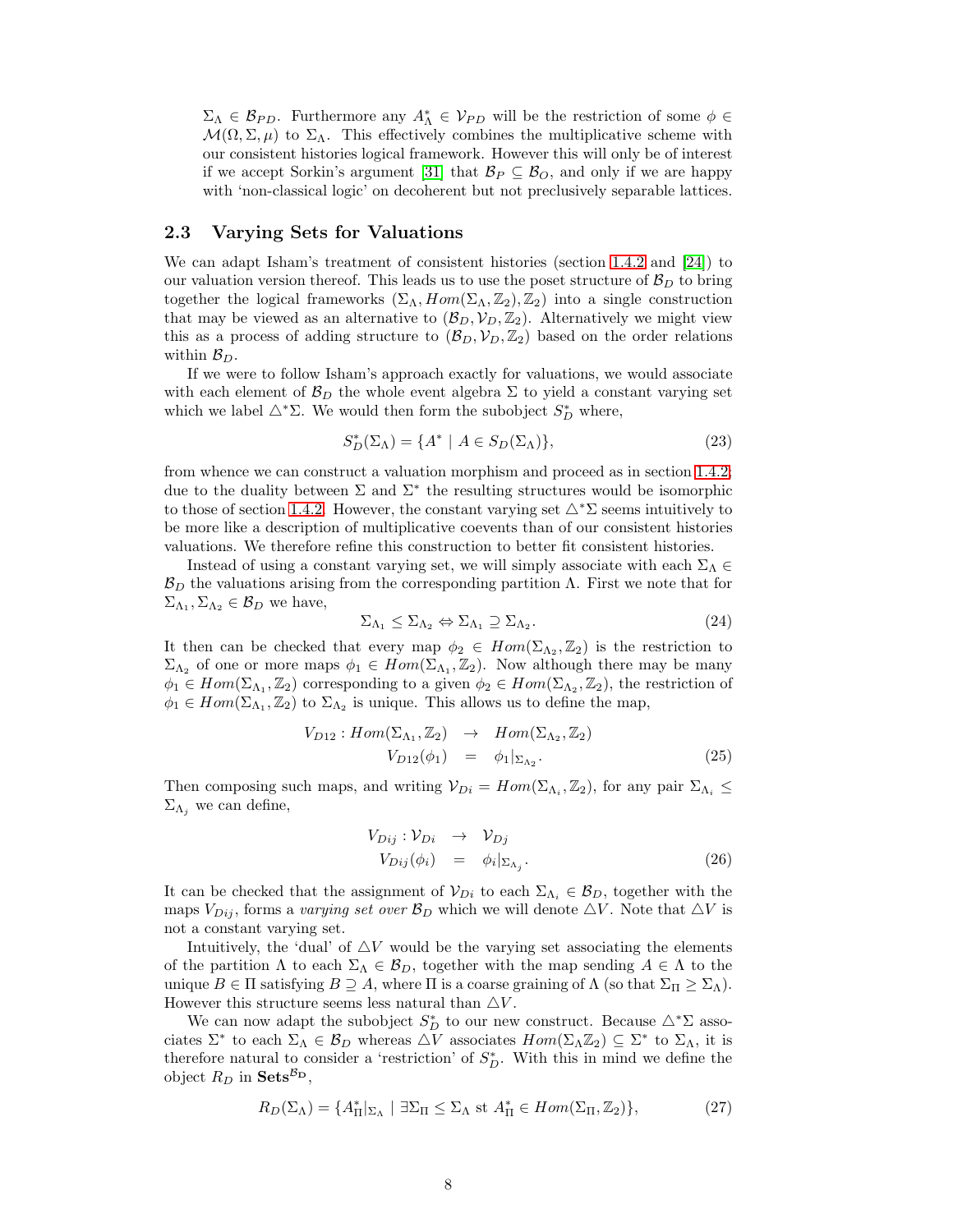$\Sigma_{\Lambda} \in \mathcal{B}_{PD}$ . Furthermore any  $A_{\Lambda}^* \in \mathcal{V}_{PD}$  will be the restriction of some  $\phi \in$  $\mathcal{M}(\Omega,\Sigma,\mu)$  to  $\Sigma_{\Lambda}$ . This effectively combines the multiplicative scheme with our consistent histories logical framework. However this will only be of interest if we accept Sorkin's argument [\[31\]](#page-11-1) that  $\mathcal{B}_P \subseteq \mathcal{B}_O$ , and only if we are happy with 'non-classical logic' on decoherent but not preclusively separable lattices.

### <span id="page-7-0"></span>2.3 Varying Sets for Valuations

We can adapt Isham's treatment of consistent histories (section [1.4.2](#page-2-0) and [\[24\]](#page-11-2)) to our valuation version thereof. This leads us to use the poset structure of  $\mathcal{B}_D$  to bring together the logical frameworks  $(\Sigma_{\Lambda}, Hom(\Sigma_{\Lambda}, Z_2), Z_2)$  into a single construction that may be viewed as an alternative to  $(\mathcal{B}_D, \mathcal{V}_D, \mathbb{Z}_2)$ . Alternatively we might view this as a process of adding structure to  $(\mathcal{B}_D, \mathcal{V}_D, \mathbb{Z}_2)$  based on the order relations within  $\mathcal{B}_D$ .

If we were to follow Isham's approach exactly for valuations, we would associate with each element of  $\mathcal{B}_D$  the whole event algebra  $\Sigma$  to yield a constant varying set which we label  $\triangle^* \Sigma$ . We would then form the subobject  $S_D^*$  where,

$$
S_D^*(\Sigma_\Lambda) = \{ A^* \mid A \in S_D(\Sigma_\Lambda) \},\tag{23}
$$

from whence we can construct a valuation morphism and proceed as in section [1.4.2;](#page-2-0) due to the duality between  $\Sigma$  and  $\Sigma^*$  the resulting structures would be isomorphic to those of section [1.4.2.](#page-2-0) However, the constant varying set  $\triangle^* \Sigma$  seems intuitively to be more like a description of multiplicative coevents than of our consistent histories valuations. We therefore refine this construction to better fit consistent histories.

Instead of using a constant varying set, we will simply associate with each  $\Sigma_{\Lambda} \in$  $\mathcal{B}_D$  the valuations arising from the corresponding partition  $\Lambda$ . First we note that for  $\Sigma_{\Lambda_1}, \Sigma_{\Lambda_2} \in \mathcal{B}_D$  we have,

$$
\Sigma_{\Lambda_1} \leq \Sigma_{\Lambda_2} \Leftrightarrow \Sigma_{\Lambda_1} \supseteq \Sigma_{\Lambda_2}.
$$
\n(24)

It then can be checked that every map  $\phi_2 \in Hom(\Sigma_{\Lambda_2}, \mathbb{Z}_2)$  is the restriction to  $\Sigma_{\Lambda_2}$  of one or more maps  $\phi_1 \in Hom(\Sigma_{\Lambda_1}, \mathbb{Z}_2)$ . Now although there may be many  $\phi_1 \in Hom(\Sigma_{\Lambda_1}, \mathbb{Z}_2)$  corresponding to a given  $\phi_2 \in Hom(\Sigma_{\Lambda_2}, \mathbb{Z}_2)$ , the restriction of  $\phi_1 \in Hom(\Sigma_{\Lambda_1}, \mathbb{Z}_2)$  to  $\Sigma_{\Lambda_2}$  is unique. This allows us to define the map,

$$
V_{D12}: Hom(\Sigma_{\Lambda_1}, \mathbb{Z}_2) \rightarrow Hom(\Sigma_{\Lambda_2}, \mathbb{Z}_2)
$$
  

$$
V_{D12}(\phi_1) = \phi_1|_{\Sigma_{\Lambda_2}}.
$$
 (25)

Then composing such maps, and writing  $\mathcal{V}_{Di} = Hom(\Sigma_{\Lambda_i}, \mathbb{Z}_2)$ , for any pair  $\Sigma_{\Lambda_i} \leq$  $\Sigma_{\Lambda_i}$  we can define,

$$
V_{Dij}: \mathcal{V}_{Di} \rightarrow \mathcal{V}_{Dj}
$$
  
\n
$$
V_{Dij}(\phi_i) = \phi_i|_{\Sigma_{\Lambda_j}}.
$$
\n(26)

It can be checked that the assignment of  $V_{Di}$  to each  $\Sigma_{\Lambda_i} \in \mathcal{B}_D$ , together with the maps  $V_{Dij}$ , forms a *varying set over*  $\mathcal{B}_D$  which we will denote  $\triangle V$ . Note that  $\triangle V$  is not a constant varying set.

Intuitively, the 'dual' of  $\Delta V$  would be the varying set associating the elements of the partition  $\Lambda$  to each  $\Sigma_{\Lambda} \in \mathcal{B}_D$ , together with the map sending  $A \in \Lambda$  to the unique  $B \in \Pi$  satisfying  $B \supseteq A$ , where  $\Pi$  is a coarse graining of  $\Lambda$  (so that  $\Sigma_{\Pi} \geq \Sigma_{\Lambda}$ ). However this structure seems less natural than  $\triangle V$ .

We can now adapt the subobject  $S_D^*$  to our new construct. Because  $\triangle^*\Sigma$  associates  $\Sigma^*$  to each  $\Sigma_\Lambda \in \mathcal{B}_D$  whereas  $\Delta V$  associates  $Hom(\Sigma_\Lambda \mathbb{Z}_2) \subseteq \Sigma^*$  to  $\Sigma_\Lambda$ , it is therefore natural to consider a 'restriction' of  $S_D^*$ . With this in mind we define the object  $R_D$  in Sets<sup> $B_D$ </sup>,

$$
R_D(\Sigma_\Lambda) = \{ A_\Pi^* |_{\Sigma_\Lambda} \mid \exists \Sigma_\Pi \le \Sigma_\Lambda \text{ st } A_\Pi^* \in Hom(\Sigma_\Pi, \mathbb{Z}_2) \},\tag{27}
$$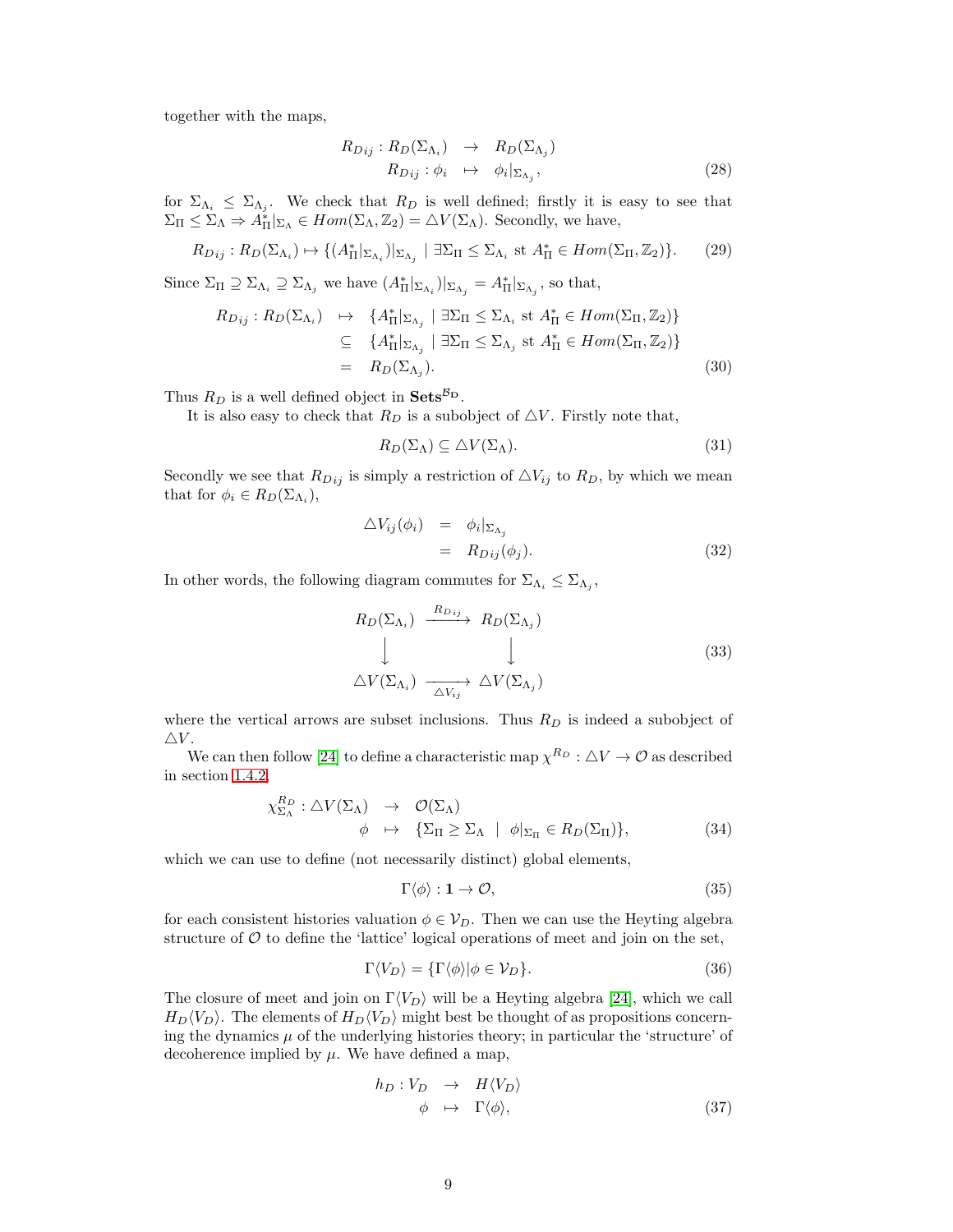together with the maps,

$$
R_{Dij}: R_D(\Sigma_{\Lambda_i}) \rightarrow R_D(\Sigma_{\Lambda_j})
$$
  
\n
$$
R_{Dij}: \phi_i \rightarrow \phi_i|_{\Sigma_{\Lambda_j}},
$$
\n(28)

for  $\Sigma_{\Lambda_i} \leq \Sigma_{\Lambda_j}$ . We check that  $R_D$  is well defined; firstly it is easy to see that  $\Sigma_{\Pi} \leq \Sigma_{\Lambda} \Rightarrow A_{\Pi}^{*}|_{\Sigma_{\Lambda}} \in Hom(\Sigma_{\Lambda}, \mathbb{Z}_{2}) = \Delta V(\Sigma_{\Lambda}).$  Secondly, we have,

$$
R_{Dij}: R_D(\Sigma_{\Lambda_i}) \mapsto \{ (A_{\Pi}^*|_{\Sigma_{\Lambda_i}})|_{\Sigma_{\Lambda_j}} \mid \exists \Sigma_{\Pi} \le \Sigma_{\Lambda_i} \text{ st } A_{\Pi}^* \in Hom(\Sigma_{\Pi}, \mathbb{Z}_2) \}. \tag{29}
$$

Since  $\Sigma_{\Pi} \supseteq \Sigma_{\Lambda_i} \supseteq \Sigma_{\Lambda_j}$  we have  $(A_{\Pi}^*|_{\Sigma_{\Lambda_i}})|_{\Sigma_{\Lambda_j}} = A_{\Pi}^*|_{\Sigma_{\Lambda_j}}$ , so that,

$$
R_{Dij}: R_D(\Sigma_{\Lambda_i}) \rightarrow \{A_{\Pi}^*|_{\Sigma_{\Lambda_j}} \mid \exists \Sigma_{\Pi} \le \Sigma_{\Lambda_i} \text{ st } A_{\Pi}^* \in Hom(\Sigma_{\Pi}, \mathbb{Z}_2) \}
$$
  
\n
$$
\subseteq \{A_{\Pi}^*|_{\Sigma_{\Lambda_j}} \mid \exists \Sigma_{\Pi} \le \Sigma_{\Lambda_j} \text{ st } A_{\Pi}^* \in Hom(\Sigma_{\Pi}, \mathbb{Z}_2) \}
$$
  
\n
$$
= R_D(\Sigma_{\Lambda_j}). \tag{30}
$$

Thus  $R_D$  is a well defined object in  $\textbf{Sets}^{\mathcal{B}_D}$ .

It is also easy to check that  $R_D$  is a subobject of  $\triangle V$ . Firstly note that,

$$
R_D(\Sigma_\Lambda) \subseteq \triangle V(\Sigma_\Lambda). \tag{31}
$$

Secondly we see that  $R_{Dij}$  is simply a restriction of  $\triangle V_{ij}$  to  $R_D$ , by which we mean that for  $\phi_i \in R_D(\Sigma_{\Lambda_i}),$ 

$$
\begin{array}{rcl}\n\Delta V_{ij}(\phi_i) & = & \phi_i|_{\Sigma_{\Lambda_j}} \\
& = & R_{Dij}(\phi_j).\n\end{array} \tag{32}
$$

In other words, the following diagram commutes for  $\Sigma_{\Lambda_i} \leq \Sigma_{\Lambda_j}$ ,

$$
R_D(\Sigma_{\Lambda_i}) \xrightarrow{R_{D\,ij}} R_D(\Sigma_{\Lambda_j})
$$
  
\n
$$
\downarrow \qquad \qquad \downarrow
$$
  
\n
$$
\Delta V(\Sigma_{\Lambda_i}) \xrightarrow[\Delta V_{ij}]{} \Delta V(\Sigma_{\Lambda_j})
$$
\n(33)

where the vertical arrows are subset inclusions. Thus  $R_D$  is indeed a subobject of  $\triangle V$ .

We can then follow [\[24\]](#page-11-2) to define a characteristic map  $\chi^{R_D}$  :  $\Delta V \to \mathcal{O}$  as described in section [1.4.2,](#page-2-0)

$$
\chi_{\Sigma_{\Lambda}}^{R_D} : \triangle V(\Sigma_{\Lambda}) \rightarrow \mathcal{O}(\Sigma_{\Lambda}) \n\phi \mapsto \{\Sigma_{\Pi} \ge \Sigma_{\Lambda} \mid \phi|_{\Sigma_{\Pi}} \in R_D(\Sigma_{\Pi})\},
$$
\n(34)

which we can use to define (not necessarily distinct) global elements,

$$
\Gamma \langle \phi \rangle : \mathbf{1} \to \mathcal{O}, \tag{35}
$$

for each consistent histories valuation  $\phi \in V_D$ . Then we can use the Heyting algebra structure of  $\mathcal O$  to define the 'lattice' logical operations of meet and join on the set,

$$
\Gamma \langle V_D \rangle = \{ \Gamma \langle \phi \rangle | \phi \in V_D \}. \tag{36}
$$

The closure of meet and join on  $\Gamma \langle V_D \rangle$  will be a Heyting algebra [\[24\]](#page-11-2), which we call  $H_D\langle V_D\rangle$ . The elements of  $H_D\langle V_D\rangle$  might best be thought of as propositions concerning the dynamics  $\mu$  of the underlying histories theory; in particular the 'structure' of decoherence implied by  $\mu$ . We have defined a map,

$$
h_D: V_D \rightarrow H \langle V_D \rangle \n\phi \rightarrow \Gamma \langle \phi \rangle, \tag{37}
$$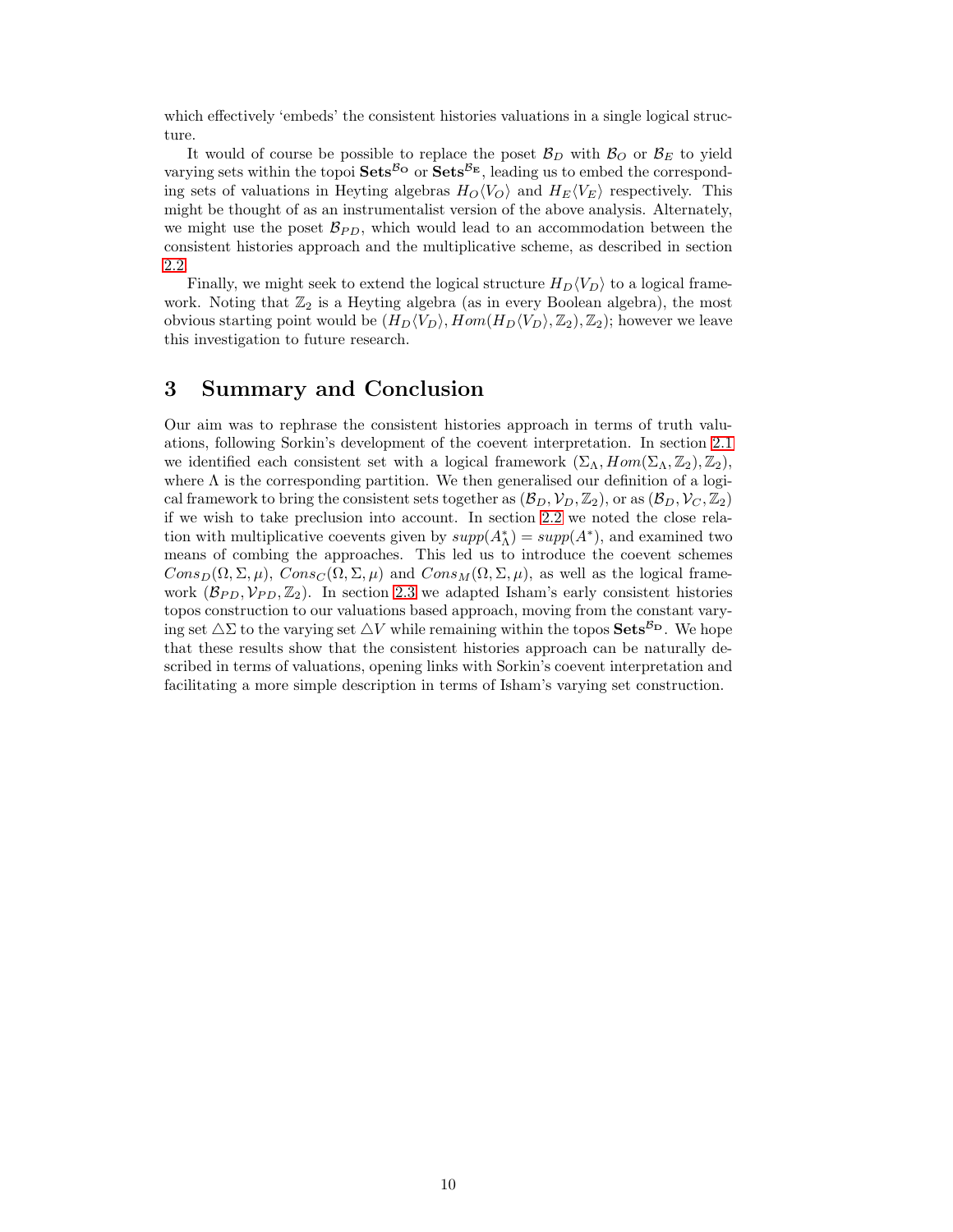which effectively 'embeds' the consistent histories valuations in a single logical structure.

It would of course be possible to replace the poset  $\mathcal{B}_D$  with  $\mathcal{B}_O$  or  $\mathcal{B}_E$  to yield varying sets within the topoi  $\textbf{Sets}^{\mathcal{B}_{\mathbf{C}}}$  or  $\textbf{Sets}^{\mathcal{B}_{\mathbf{E}}}$ , leading us to embed the corresponding sets of valuations in Heyting algebras  $H_O\langle V_O \rangle$  and  $H_E\langle V_E \rangle$  respectively. This might be thought of as an instrumentalist version of the above analysis. Alternately, we might use the poset  $\mathcal{B}_{PD}$ , which would lead to an accommodation between the consistent histories approach and the multiplicative scheme, as described in section [2.2.](#page-5-0)

Finally, we might seek to extend the logical structure  $H_D\langle V_D \rangle$  to a logical framework. Noting that  $\mathbb{Z}_2$  is a Heyting algebra (as in every Boolean algebra), the most obvious starting point would be  $(H_D\langle V_D \rangle, Hom(H_D\langle V_D \rangle, \mathbb{Z}_2), \mathbb{Z}_2)$ ; however we leave this investigation to future research.

## 3 Summary and Conclusion

Our aim was to rephrase the consistent histories approach in terms of truth valuations, following Sorkin's development of the coevent interpretation. In section [2.1](#page-5-1) we identified each consistent set with a logical framework  $(\Sigma_{\Lambda}, Hom(\Sigma_{\Lambda}, \mathbb{Z}_2), \mathbb{Z}_2)$ , where  $\Lambda$  is the corresponding partition. We then generalised our definition of a logical framework to bring the consistent sets together as  $(\mathcal{B}_D, \mathcal{V}_D, \mathbb{Z}_2)$ , or as  $(\mathcal{B}_D, \mathcal{V}_C, \mathbb{Z}_2)$ if we wish to take preclusion into account. In section [2.2](#page-5-0) we noted the close relation with multiplicative coevents given by  $supp(A_{\Lambda}^*) = supp(A^*)$ , and examined two means of combing the approaches. This led us to introduce the coevent schemes  $Cons_D(\Omega, \Sigma, \mu)$ ,  $Cons_C(\Omega, \Sigma, \mu)$  and  $Cons_M(\Omega, \Sigma, \mu)$ , as well as the logical framework  $(\mathcal{B}_{PD}, \mathcal{V}_{PD}, \mathbb{Z}_2)$ . In section [2.3](#page-7-0) we adapted Isham's early consistent histories topos construction to our valuations based approach, moving from the constant varying set  $\Delta\Sigma$  to the varying set  $\Delta V$  while remaining within the topos  $\mathbf{Sets}^{\mathcal{B}_{\mathbf{D}}}$ . We hope that these results show that the consistent histories approach can be naturally described in terms of valuations, opening links with Sorkin's coevent interpretation and facilitating a more simple description in terms of Isham's varying set construction.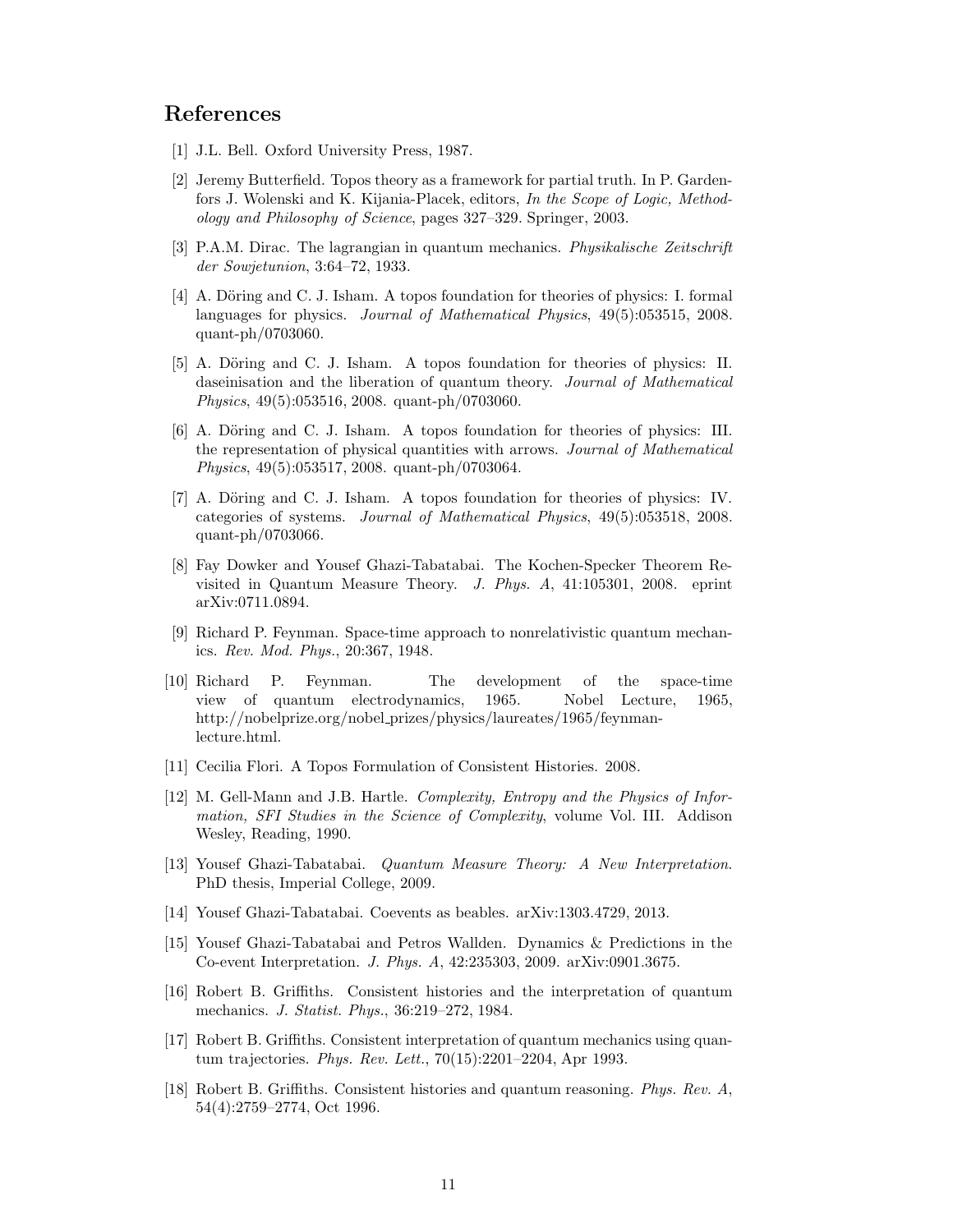## <span id="page-10-17"></span>References

- <span id="page-10-12"></span>[1] J.L. Bell. Oxford University Press, 1987.
- [2] Jeremy Butterfield. Topos theory as a framework for partial truth. In P. Gardenfors J. Wolenski and K. Kijania-Placek, editors, *In the Scope of Logic, Methodology and Philosophy of Science*, pages 327–329. Springer, 2003.
- <span id="page-10-8"></span><span id="page-10-1"></span>[3] P.A.M. Dirac. The lagrangian in quantum mechanics. *Physikalische Zeitschrift der Sowjetunion*, 3:64–72, 1933.
- [4] A. Döring and C. J. Isham. A topos foundation for theories of physics: I. formal languages for physics. *Journal of Mathematical Physics*, 49(5):053515, 2008. quant-ph/0703060.
- <span id="page-10-9"></span>[5] A. Döring and C. J. Isham. A topos foundation for theories of physics: II. daseinisation and the liberation of quantum theory. *Journal of Mathematical Physics*, 49(5):053516, 2008. quant-ph/0703060.
- <span id="page-10-10"></span>[6] A. Döring and C. J. Isham. A topos foundation for theories of physics: III. the representation of physical quantities with arrows. *Journal of Mathematical Physics*, 49(5):053517, 2008. quant-ph/0703064.
- <span id="page-10-11"></span>[7] A. Döring and C. J. Isham. A topos foundation for theories of physics: IV. categories of systems. *Journal of Mathematical Physics*, 49(5):053518, 2008. quant-ph/0703066.
- <span id="page-10-15"></span>[8] Fay Dowker and Yousef Ghazi-Tabatabai. The Kochen-Specker Theorem Revisited in Quantum Measure Theory. *J. Phys. A*, 41:105301, 2008. eprint arXiv:0711.0894.
- <span id="page-10-2"></span>[9] Richard P. Feynman. Space-time approach to nonrelativistic quantum mechanics. *Rev. Mod. Phys.*, 20:367, 1948.
- <span id="page-10-3"></span>[10] Richard P. Feynman. The development of the space-time view of quantum electrodynamics, 1965. Nobel Lecture, 1965, http://nobelprize.org/nobel prizes/physics/laureates/1965/feynmanlecture.html.
- <span id="page-10-13"></span><span id="page-10-4"></span>[11] Cecilia Flori. A Topos Formulation of Consistent Histories. 2008.
- [12] M. Gell-Mann and J.B. Hartle. *Complexity, Entropy and the Physics of Information, SFI Studies in the Science of Complexity*, volume Vol. III. Addison Wesley, Reading, 1990.
- <span id="page-10-16"></span>[13] Yousef Ghazi-Tabatabai. *Quantum Measure Theory: A New Interpretation*. PhD thesis, Imperial College, 2009.
- <span id="page-10-14"></span><span id="page-10-0"></span>[14] Yousef Ghazi-Tabatabai. Coevents as beables. arXiv:1303.4729, 2013.
- [15] Yousef Ghazi-Tabatabai and Petros Wallden. Dynamics & Predictions in the Co-event Interpretation. *J. Phys. A*, 42:235303, 2009. arXiv:0901.3675.
- <span id="page-10-5"></span>[16] Robert B. Griffiths. Consistent histories and the interpretation of quantum mechanics. *J. Statist. Phys.*, 36:219–272, 1984.
- <span id="page-10-6"></span>[17] Robert B. Griffiths. Consistent interpretation of quantum mechanics using quantum trajectories. *Phys. Rev. Lett.*, 70(15):2201–2204, Apr 1993.
- <span id="page-10-7"></span>[18] Robert B. Griffiths. Consistent histories and quantum reasoning. *Phys. Rev. A*, 54(4):2759–2774, Oct 1996.